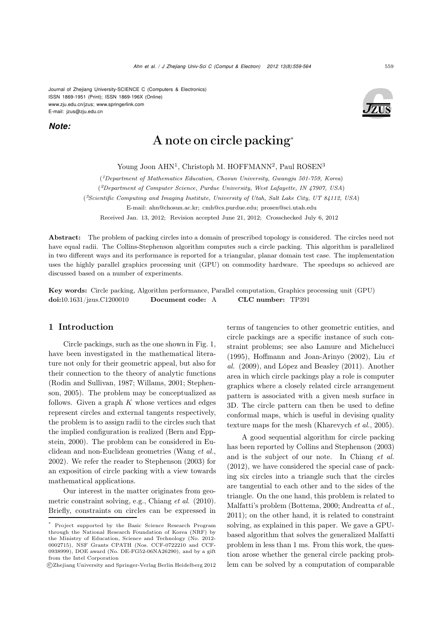Journal of Zhejiang University-SCIENCE C (Computers & Electronics) ISSN 1869-1951 (Print); ISSN 1869-196X (Online) www.zju.edu.cn/jzus; www.springerlink.com E-mail: jzus@zju.edu.cn

*Note:*



# A note on circle packing<sup>∗</sup>

Young Joon AHN<sup>1</sup>, Christoph M. HOFFMANN<sup>2</sup>, Paul ROSEN<sup>3</sup>

(*1Department of Mathematics Education, Chosun University, Gwangju 501-759, Korea*)

(*2Department of Computer Science, Purdue University, West Lafayette, IN 47907, USA*)

(*3Scientific Computing and Imaging Institute, University of Utah, Salt Lake City, UT 84112, USA*)

E-mail: ahn@chosun.ac.kr; cmh@cs.purdue.edu; prosen@sci.utah.edu

Received Jan. 13, 2012; Revision accepted June 21, 2012; Crosschecked July 6, 2012

Abstract: The problem of packing circles into a domain of prescribed topology is considered. The circles need not have equal radii. The Collins-Stephenson algorithm computes such a circle packing. This algorithm is parallelized in two different ways and its performance is reported for a triangular, planar domain test case. The implementation uses the highly parallel graphics processing unit (GPU) on commodity hardware. The speedups so achieved are discussed based on a number of experiments.

Key words: Circle packing, Algorithm performance, Parallel computation, Graphics processing unit (GPU) doi:10.1631/jzus.C1200010 Document code: A CLC number: TP391

#### 1 Introduction

Circle packings, such as the one shown in Fig. 1, have been investigated in the mathematical literature not only for their geometric appeal, but also for their connection to the theory of analytic functions (Rodin and Sullivan, 1987; Willams, 2001; Stephenson, 2005). The problem may be conceptualized as follows. Given a graph  $K$  whose vertices and edges represent circles and external tangents respectively, the problem is to assign radii to the circles such that the implied configuration is realized (Bern and Eppstein, 2000). The problem can be considered in Euclidean and non-Euclidean geometries (Wang *et al.*, 2002). We refer the reader to Stephenson (2003) for an exposition of circle packing with a view towards mathematical applications.

Our interest in the matter originates from geometric constraint solving, e.g., Chiang *et al.* (2010). Briefly, constraints on circles can be expressed in terms of tangencies to other geometric entities, and circle packings are a specific instance of such constraint problems; see also Lamure and Michelucci (1995), Hoffmann and Joan-Arinyo (2002), Liu *et al.* (2009), and López and Beasley (2011). Another area in which circle packings play a role is computer graphics where a closely related circle arrangement pattern is associated with a given mesh surface in 3D. The circle pattern can then be used to define conformal maps, which is useful in devising quality texture maps for the mesh (Kharevych *et al.*, 2005).

A good sequential algorithm for circle packing has been reported by Collins and Stephenson (2003) and is the subject of our note. In Chiang *et al.* (2012), we have considered the special case of packing six circles into a triangle such that the circles are tangential to each other and to the sides of the triangle. On the one hand, this problem is related to Malfatti's problem (Bottema, 2000; Andreatta *et al.*, 2011); on the other hand, it is related to constraint solving, as explained in this paper. We gave a GPUbased algorithm that solves the generalized Malfatti problem in less than 1 ms. From this work, the question arose whether the general circle packing problem can be solved by a computation of comparable

<sup>\*</sup> Project supported by the Basic Science Research Program through the National Research Foundation of Korea (NRF) by the Ministry of Education, Science and Technology (No. 2012- 0002715), NSF Grants CPATH (Nos. CCF-0722210 and CCF-0938999), DOE award (No. DE-FG52-06NA26290), and by a gift from the Intel Corporation

c Zhejiang University and Springer-Verlag Berlin Heidelberg 2012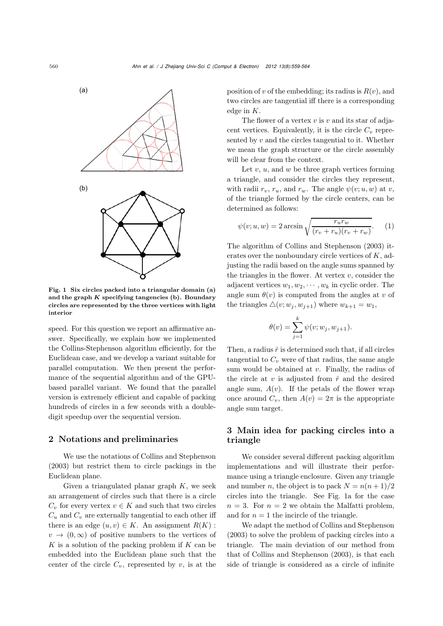

Fig. 1 Six circles packed into a triangular domain (a) and the graph *K* specifying tangencies (b). Boundary circles are represented by the three vertices with light interior

speed. For this question we report an affirmative answer. Specifically, we explain how we implemented the Collins-Stephenson algorithm efficiently, for the Euclidean case, and we develop a variant suitable for parallel computation. We then present the performance of the sequential algorithm and of the GPUbased parallel variant. We found that the parallel version is extremely efficient and capable of packing hundreds of circles in a few seconds with a doubledigit speedup over the sequential version.

## 2 Notations and preliminaries

We use the notations of Collins and Stephenson (2003) but restrict them to circle packings in the Euclidean plane.

Given a triangulated planar graph  $K$ , we seek an arrangement of circles such that there is a circle  $C_v$  for every vertex  $v \in K$  and such that two circles  $C_u$  and  $C_v$  are externally tangential to each other iff there is an edge  $(u, v) \in K$ . An assignment  $R(K)$ :  $v \rightarrow (0,\infty)$  of positive numbers to the vertices of  $K$  is a solution of the packing problem if  $K$  can be embedded into the Euclidean plane such that the center of the circle  $C_v$ , represented by v, is at the

position of v of the embedding; its radius is  $R(v)$ , and two circles are tangential iff there is a corresponding edge in K.

The flower of a vertex  $v$  is  $v$  and its star of adjacent vertices. Equivalently, it is the circle  $C_v$  represented by  $v$  and the circles tangential to it. Whether we mean the graph structure or the circle assembly will be clear from the context.

Let  $v, u$ , and  $w$  be three graph vertices forming a triangle, and consider the circles they represent, with radii  $r_v$ ,  $r_u$ , and  $r_w$ . The angle  $\psi(v; u, w)$  at v, of the triangle formed by the circle centers, can be determined as follows:

$$
\psi(v; u, w) = 2 \arcsin \sqrt{\frac{r_u r_w}{(r_v + r_u)(r_v + r_w)}}.
$$
 (1)

The algorithm of Collins and Stephenson (2003) iterates over the nonboundary circle vertices of K, adjusting the radii based on the angle sums spanned by the triangles in the flower. At vertex  $v$ , consider the adjacent vertices  $w_1, w_2, \dots, w_k$  in cyclic order. The angle sum  $\theta(v)$  is computed from the angles at v of the triangles  $\triangle(v; w_j, w_{j+1})$  where  $w_{k+1} = w_1$ ,

$$
\theta(v) = \sum_{j=1}^{k} \psi(v; w_j, w_{j+1}).
$$

Then, a radius  $\hat{r}$  is determined such that, if all circles tangential to  $C_v$  were of that radius, the same angle sum would be obtained at  $v$ . Finally, the radius of the circle at v is adjusted from  $\hat{r}$  and the desired angle sum,  $A(v)$ . If the petals of the flower wrap once around  $C_v$ , then  $A(v)=2\pi$  is the appropriate angle sum target.

## 3 Main idea for packing circles into a triangle

We consider several different packing algorithm implementations and will illustrate their performance using a triangle enclosure. Given any triangle and number n, the object is to pack  $N = n(n+1)/2$ circles into the triangle. See Fig. 1a for the case  $n = 3$ . For  $n = 2$  we obtain the Malfatti problem, and for  $n = 1$  the incircle of the triangle.

We adapt the method of Collins and Stephenson (2003) to solve the problem of packing circles into a triangle. The main deviation of our method from that of Collins and Stephenson (2003), is that each side of triangle is considered as a circle of infinite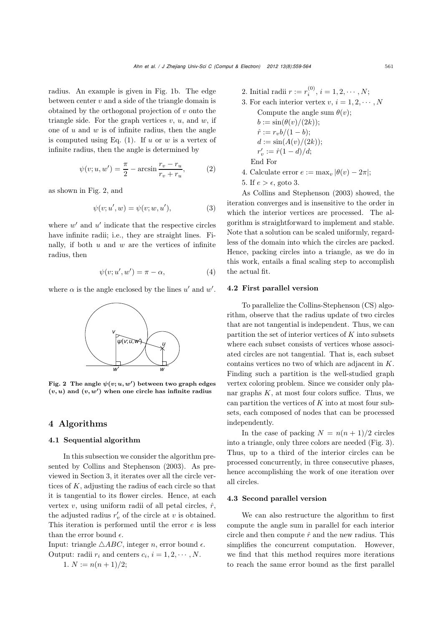radius. An example is given in Fig. 1b. The edge between center  $v$  and a side of the triangle domain is obtained by the orthogonal projection of  $v$  onto the triangle side. For the graph vertices  $v, u$ , and  $w$ , if one of  $u$  and  $w$  is of infinite radius, then the angle is computed using Eq.  $(1)$ . If u or w is a vertex of infinite radius, then the angle is determined by

$$
\psi(v; u, w') = \frac{\pi}{2} - \arcsin \frac{r_v - r_u}{r_v + r_u},\tag{2}
$$

as shown in Fig. 2, and

$$
\psi(v; u', w) = \psi(v; w, u'),\tag{3}
$$

where  $w'$  and  $u'$  indicate that the respective circles have infinite radii; i.e., they are straight lines. Finally, if both  $u$  and  $w$  are the vertices of infinite radius, then

$$
\psi(v; u', w') = \pi - \alpha,\tag{4}
$$

where  $\alpha$  is the angle enclosed by the lines  $u'$  and  $w'$ .



Fig. 2 The angle  $\psi(v; u, w')$  between two graph edges  $(v, u)$  and  $(v, w')$  when one circle has infinite radius

# 4 Algorithms

#### 4.1 Sequential algorithm

In this subsection we consider the algorithm presented by Collins and Stephenson (2003). As previewed in Section 3, it iterates over all the circle vertices of  $K$ , adjusting the radius of each circle so that it is tangential to its flower circles. Hence, at each vertex v, using uniform radii of all petal circles,  $\hat{r}$ , the adjusted radius  $r'_v$  of the circle at v is obtained. This iteration is performed until the error  $e$  is less than the error bound  $\epsilon$ .

Input: triangle  $\triangle ABC$ , integer *n*, error bound  $\epsilon$ . Output: radii  $r_i$  and centers  $c_i$ ,  $i = 1, 2, \cdots, N$ .

1. 
$$
N := n(n+1)/2;
$$

- 2. Initial radii  $r := r_i^{(0)}$ ,  $i = 1, 2, \dots, N;$
- 3. For each interior vertex  $v, i = 1, 2, \dots, N$

Compute the angle sum  $\theta(v)$ ;  $b := \sin(\theta(v)/(2k));$  $\hat{r} := r_v b/(1-b);$  $d := \sin(A(v)/(2k));$  $r'_v := \hat{r}(1 - d)/d;$ End For

- 4. Calculate error  $e := \max_v |\theta(v) 2\pi|$ ;
- 5. If  $e > \epsilon$ , goto 3.

As Collins and Stephenson (2003) showed, the iteration converges and is insensitive to the order in which the interior vertices are processed. The algorithm is straightforward to implement and stable. Note that a solution can be scaled uniformly, regardless of the domain into which the circles are packed. Hence, packing circles into a triangle, as we do in this work, entails a final scaling step to accomplish the actual fit.

#### 4.2 First parallel version

To parallelize the Collins-Stephenson (CS) algorithm, observe that the radius update of two circles that are not tangential is independent. Thus, we can partition the set of interior vertices of  $K$  into subsets where each subset consists of vertices whose associated circles are not tangential. That is, each subset contains vertices no two of which are adjacent in K. Finding such a partition is the well-studied graph vertex coloring problem. Since we consider only planar graphs  $K$ , at most four colors suffice. Thus, we can partition the vertices of  $K$  into at most four subsets, each composed of nodes that can be processed independently.

In the case of packing  $N = n(n + 1)/2$  circles into a triangle, only three colors are needed (Fig. 3). Thus, up to a third of the interior circles can be processed concurrently, in three consecutive phases, hence accomplishing the work of one iteration over all circles.

#### 4.3 Second parallel version

We can also restructure the algorithm to first compute the angle sum in parallel for each interior circle and then compute  $\hat{r}$  and the new radius. This simplifies the concurrent computation. However, we find that this method requires more iterations to reach the same error bound as the first parallel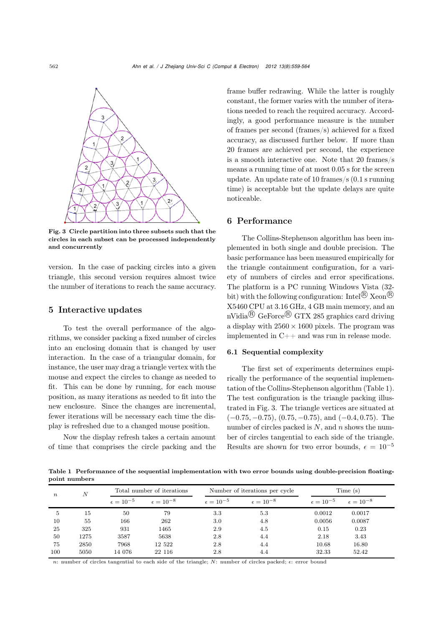

Fig. 3 Circle partition into three subsets such that the circles in each subset can be processed independently and concurrently

version. In the case of packing circles into a given triangle, this second version requires almost twice the number of iterations to reach the same accuracy.

## 5 Interactive updates

To test the overall performance of the algorithms, we consider packing a fixed number of circles into an enclosing domain that is changed by user interaction. In the case of a triangular domain, for instance, the user may drag a triangle vertex with the mouse and expect the circles to change as needed to fit. This can be done by running, for each mouse position, as many iterations as needed to fit into the new enclosure. Since the changes are incremental, fewer iterations will be necessary each time the display is refreshed due to a changed mouse position.

Now the display refresh takes a certain amount of time that comprises the circle packing and the

frame buffer redrawing. While the latter is roughly constant, the former varies with the number of iterations needed to reach the required accuracy. Accordingly, a good performance measure is the number of frames per second (frames/s) achieved for a fixed accuracy, as discussed further below. If more than 20 frames are achieved per second, the experience is a smooth interactive one. Note that 20 frames/s means a running time of at most 0.05 s for the screen update. An update rate of 10 frames/s (0.1 s running time) is acceptable but the update delays are quite noticeable.

## 6 Performance

The Collins-Stephenson algorithm has been implemented in both single and double precision. The basic performance has been measured empirically for the triangle containment configuration, for a variety of numbers of circles and error specifications. The platform is a PC running Windows Vista (32 bit) with the following configuration: Intel<sup>®</sup> Xeon<sup>®</sup> X5460 CPU at 3.16 GHz, 4 GB main memory, and an  $nVidia^{\textcircled{R}}$  GeForce  $\textcircled{R}$  GTX 285 graphics card driving a display with  $2560 \times 1600$  pixels. The program was implemented in C++ and was run in release mode.

#### 6.1 Sequential complexity

The first set of experiments determines empirically the performance of the sequential implementation of the Collins-Stephenson algorithm (Table 1). The test configuration is the triangle packing illustrated in Fig. 3. The triangle vertices are situated at  $(-0.75, -0.75), (0.75, -0.75), \text{ and } (-0.4, 0.75)$ . The number of circles packed is  $N$ , and  $n$  shows the number of circles tangential to each side of the triangle. Results are shown for two error bounds,  $\epsilon = 10^{-5}$ 

Table 1 Performance of the sequential implementation with two error bounds using double-precision floatingpoint numbers

| $\boldsymbol{n}$ | N    | Total number of iterations |                      |                      | Number of iterations per cycle | Time (s)             |                      |
|------------------|------|----------------------------|----------------------|----------------------|--------------------------------|----------------------|----------------------|
|                  |      | $\epsilon = 10^{-5}$       | $\epsilon = 10^{-8}$ | $\epsilon = 10^{-5}$ | $\epsilon = 10^{-8}$           | $\epsilon = 10^{-5}$ | $\epsilon = 10^{-8}$ |
| 5                | 15   | 50                         | 79                   | 3.3                  | 5.3                            | 0.0012               | 0.0017               |
| 10               | 55   | 166                        | 262                  | 3.0                  | 4.8                            | 0.0056               | 0.0087               |
| 25               | 325  | 931                        | 1465                 | 2.9                  | 4.5                            | 0.15                 | 0.23                 |
| 50               | 1275 | 3587                       | 5638                 | 2.8                  | 4.4                            | 2.18                 | 3.43                 |
| 75               | 2850 | 7968                       | 12 522               | 2.8                  | 4.4                            | 10.68                | 16.80                |
| 100              | 5050 | 14 076                     | 22 116               | 2.8                  | 4.4                            | 32.33                | 52.42                |

n: number of circles tangential to each side of the triangle; N: number of circles packed;  $\epsilon$ : error bound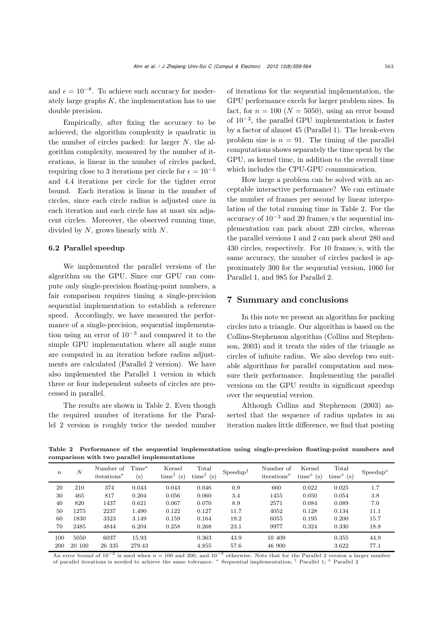and  $\epsilon = 10^{-8}$ . To achieve such accuracy for moderately large graphs  $K$ , the implementation has to use double precision.

Empirically, after fixing the accuracy to be achieved, the algorithm complexity is quadratic in the number of circles packed: for larger  $N$ , the algorithm complexity, measured by the number of iterations, is linear in the number of circles packed, requiring close to 3 iterations per circle for  $\epsilon = 10^{-5}$ and 4.4 iterations per circle for the tighter error bound. Each iteration is linear in the number of circles, since each circle radius is adjusted once in each iteration and each circle has at most six adjacent circles. Moreover, the observed running time, divided by  $N$ , grows linearly with  $N$ .

#### 6.2 Parallel speedup

We implemented the parallel versions of the algorithm on the GPU. Since our GPU can compute only single-precision floating-point numbers, a fair comparison requires timing a single-precision sequential implementation to establish a reference speed. Accordingly, we have measured the performance of a single-precision, sequential implementation using an error of  $10^{-3}$  and compared it to the simple GPU implementation where all angle sums are computed in an iteration before radius adjustments are calculated (Parallel 2 version). We have also implemented the Parallel 1 version in which three or four independent subsets of circles are processed in parallel.

The results are shown in Table 2. Even though the required number of iterations for the Parallel 2 version is roughly twice the needed number of iterations for the sequential implementation, the GPU performance excels for larger problem sizes. In fact, for  $n = 100$  ( $N = 5050$ ), using an error bound of  $10^{-2}$ , the parallel GPU implementation is faster by a factor of almost 45 (Parallel 1). The break-even problem size is  $n = 91$ . The timing of the parallel computations shows separately the time spent by the GPU, as kernel time, in addition to the overall time which includes the CPU-GPU communication.

How large a problem can be solved with an acceptable interactive performance? We can estimate the number of frames per second by linear interpolation of the total running time in Table 2. For the accuracy of 10−<sup>3</sup> and 20 frames/s the sequential implementation can pack about 220 circles, whereas the parallel versions 1 and 2 can pack about 280 and 430 circles, respectively. For 10 frames/s, with the same accuracy, the number of circles packed is approximately 300 for the sequential version, 1060 for Parallel 1, and 985 for Parallel 2.

#### 7 Summary and conclusions

In this note we present an algorithm for packing circles into a triangle. Our algorithm is based on the Collins-Stephenson algorithm (Collins and Stephenson, 2003) and it treats the sides of the triangle as circles of infinite radius. We also develop two suitable algorithms for parallel computation and measure their performance. Implementing the parallel versions on the GPU results in significant speedup over the sequential version.

Although Collins and Stephenson (2003) asserted that the sequence of radius updates in an iteration makes little difference, we find that posting

Table 2 Performance of the sequential implementation using single-precision floating-point numbers and comparison with two parallel implementations

| $\boldsymbol{n}$ | N      | Number of<br>iterations <sup>*</sup> | $Time^*$<br>$(\mathrm{s})$ | Kernel<br>time <sup><math>\dagger</math></sup> (s) | Total<br>time <sup><math>\dagger</math></sup> (s) | $S$ peed up <sup><math>\uparrow</math></sup> | Number of<br>iterations | Kernel<br>time $\circ$ (s) | Total<br>time $\circ$ (s) | $Speedup^{\diamond}$ |
|------------------|--------|--------------------------------------|----------------------------|----------------------------------------------------|---------------------------------------------------|----------------------------------------------|-------------------------|----------------------------|---------------------------|----------------------|
| 20               | 210    | 374                                  | 0.043                      | 0.043                                              | 0.046                                             | 0.9                                          | 660                     | 0.022                      | 0.025                     | 1.7                  |
| 30               | 465    | 817                                  | 0.204                      | 0.056                                              | 0.060                                             | 3.4                                          | 1455                    | 0.050                      | 0.054                     | 3.8                  |
| 40               | 820    | 1437                                 | 0.621                      | 0.067                                              | 0.070                                             | 8.9                                          | 2571                    | 0.084                      | 0.089                     | 7.0                  |
| 50               | 1275   | 2237                                 | 1.490                      | 0.122                                              | 0.127                                             | 11.7                                         | 4052                    | 0.128                      | 0.134                     | 11.1                 |
| 60               | 1830   | 3323                                 | 3.149                      | 0.159                                              | 0.164                                             | 19.2                                         | 6055                    | 0.195                      | 0.200                     | 15.7                 |
| 70               | 2485   | 4844                                 | 6.204                      | 0.258                                              | 0.268                                             | 23.1                                         | 9977                    | 0.324                      | 0.330                     | 18.8                 |
| 100              | 5050   | 6037                                 | 15.93                      |                                                    | 0.363                                             | 43.9                                         | 10 409                  |                            | 0.355                     | 44.9                 |
| 200              | 20 100 | 26 335                               | 279.43                     |                                                    | 4.855                                             | 57.6                                         | 46 900                  |                            | 3.622                     | 77.1                 |

An error bound of  $10^{-2}$  is used when  $n = 100$  and 200, and  $10^{-3}$  otherwise. Note that for the Parallel 2 version a larger number of parallel iterations is needed to achieve the same tolerance. ∗ Sequential implementation; † Parallel 1; Parallel 2